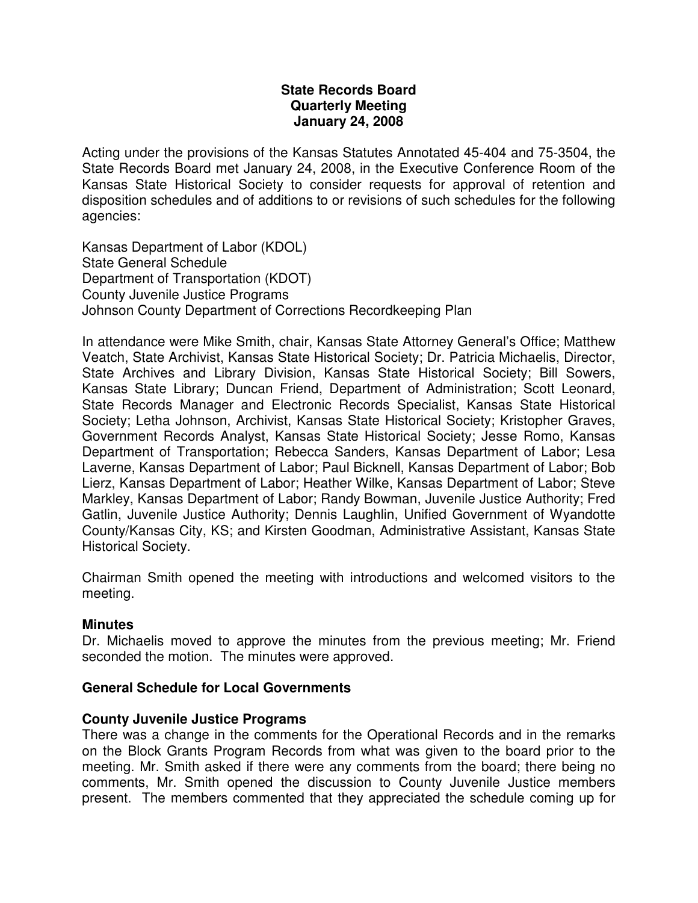# **State Records Board Quarterly Meeting January 24, 2008**

Acting under the provisions of the Kansas Statutes Annotated 45-404 and 75-3504, the State Records Board met January 24, 2008, in the Executive Conference Room of the Kansas State Historical Society to consider requests for approval of retention and disposition schedules and of additions to or revisions of such schedules for the following agencies:

Kansas Department of Labor (KDOL) State General Schedule Department of Transportation (KDOT) County Juvenile Justice Programs Johnson County Department of Corrections Recordkeeping Plan

In attendance were Mike Smith, chair, Kansas State Attorney General's Office; Matthew Veatch, State Archivist, Kansas State Historical Society; Dr. Patricia Michaelis, Director, State Archives and Library Division, Kansas State Historical Society; Bill Sowers, Kansas State Library; Duncan Friend, Department of Administration; Scott Leonard, State Records Manager and Electronic Records Specialist, Kansas State Historical Society; Letha Johnson, Archivist, Kansas State Historical Society; Kristopher Graves, Government Records Analyst, Kansas State Historical Society; Jesse Romo, Kansas Department of Transportation; Rebecca Sanders, Kansas Department of Labor; Lesa Laverne, Kansas Department of Labor; Paul Bicknell, Kansas Department of Labor; Bob Lierz, Kansas Department of Labor; Heather Wilke, Kansas Department of Labor; Steve Markley, Kansas Department of Labor; Randy Bowman, Juvenile Justice Authority; Fred Gatlin, Juvenile Justice Authority; Dennis Laughlin, Unified Government of Wyandotte County/Kansas City, KS; and Kirsten Goodman, Administrative Assistant, Kansas State Historical Society.

Chairman Smith opened the meeting with introductions and welcomed visitors to the meeting.

# **Minutes**

Dr. Michaelis moved to approve the minutes from the previous meeting; Mr. Friend seconded the motion. The minutes were approved.

# **General Schedule for Local Governments**

# **County Juvenile Justice Programs**

There was a change in the comments for the Operational Records and in the remarks on the Block Grants Program Records from what was given to the board prior to the meeting. Mr. Smith asked if there were any comments from the board; there being no comments, Mr. Smith opened the discussion to County Juvenile Justice members present. The members commented that they appreciated the schedule coming up for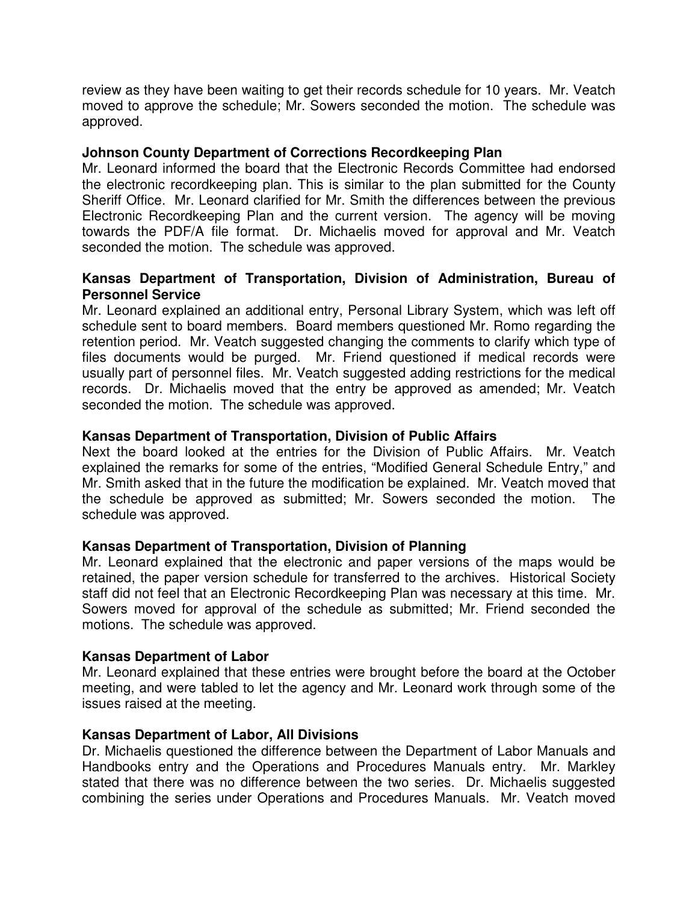review as they have been waiting to get their records schedule for 10 years. Mr. Veatch moved to approve the schedule; Mr. Sowers seconded the motion. The schedule was approved.

## **Johnson County Department of Corrections Recordkeeping Plan**

Mr. Leonard informed the board that the Electronic Records Committee had endorsed the electronic recordkeeping plan. This is similar to the plan submitted for the County Sheriff Office. Mr. Leonard clarified for Mr. Smith the differences between the previous Electronic Recordkeeping Plan and the current version. The agency will be moving towards the PDF/A file format. Dr. Michaelis moved for approval and Mr. Veatch seconded the motion. The schedule was approved.

## **Kansas Department of Transportation, Division of Administration, Bureau of Personnel Service**

Mr. Leonard explained an additional entry, Personal Library System, which was left off schedule sent to board members. Board members questioned Mr. Romo regarding the retention period. Mr. Veatch suggested changing the comments to clarify which type of files documents would be purged. Mr. Friend questioned if medical records were usually part of personnel files. Mr. Veatch suggested adding restrictions for the medical records. Dr. Michaelis moved that the entry be approved as amended; Mr. Veatch seconded the motion. The schedule was approved.

# **Kansas Department of Transportation, Division of Public Affairs**

Next the board looked at the entries for the Division of Public Affairs. Mr. Veatch explained the remarks for some of the entries, "Modified General Schedule Entry," and Mr. Smith asked that in the future the modification be explained. Mr. Veatch moved that the schedule be approved as submitted; Mr. Sowers seconded the motion. The schedule was approved.

# **Kansas Department of Transportation, Division of Planning**

Mr. Leonard explained that the electronic and paper versions of the maps would be retained, the paper version schedule for transferred to the archives. Historical Society staff did not feel that an Electronic Recordkeeping Plan was necessary at this time. Mr. Sowers moved for approval of the schedule as submitted; Mr. Friend seconded the motions. The schedule was approved.

### **Kansas Department of Labor**

Mr. Leonard explained that these entries were brought before the board at the October meeting, and were tabled to let the agency and Mr. Leonard work through some of the issues raised at the meeting.

### **Kansas Department of Labor, All Divisions**

Dr. Michaelis questioned the difference between the Department of Labor Manuals and Handbooks entry and the Operations and Procedures Manuals entry. Mr. Markley stated that there was no difference between the two series. Dr. Michaelis suggested combining the series under Operations and Procedures Manuals. Mr. Veatch moved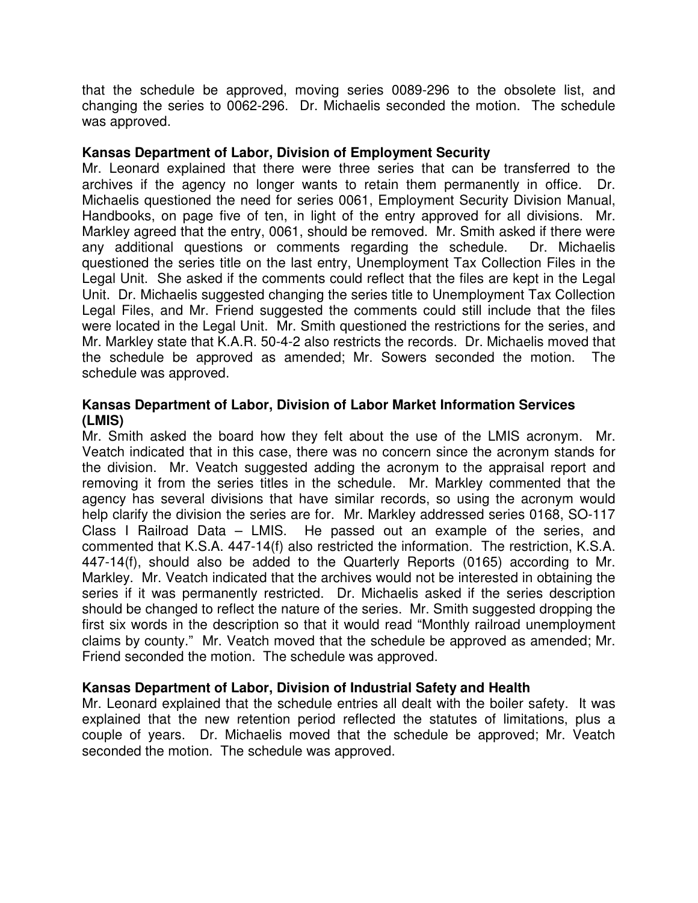that the schedule be approved, moving series 0089-296 to the obsolete list, and changing the series to 0062-296. Dr. Michaelis seconded the motion. The schedule was approved.

# **Kansas Department of Labor, Division of Employment Security**

Mr. Leonard explained that there were three series that can be transferred to the archives if the agency no longer wants to retain them permanently in office. Dr. Michaelis questioned the need for series 0061, Employment Security Division Manual, Handbooks, on page five of ten, in light of the entry approved for all divisions. Mr. Markley agreed that the entry, 0061, should be removed. Mr. Smith asked if there were any additional questions or comments regarding the schedule. Dr. Michaelis questioned the series title on the last entry, Unemployment Tax Collection Files in the Legal Unit. She asked if the comments could reflect that the files are kept in the Legal Unit. Dr. Michaelis suggested changing the series title to Unemployment Tax Collection Legal Files, and Mr. Friend suggested the comments could still include that the files were located in the Legal Unit. Mr. Smith questioned the restrictions for the series, and Mr. Markley state that K.A.R. 50-4-2 also restricts the records. Dr. Michaelis moved that the schedule be approved as amended; Mr. Sowers seconded the motion. The schedule was approved.

# **Kansas Department of Labor, Division of Labor Market Information Services (LMIS)**

Mr. Smith asked the board how they felt about the use of the LMIS acronym. Mr. Veatch indicated that in this case, there was no concern since the acronym stands for the division. Mr. Veatch suggested adding the acronym to the appraisal report and removing it from the series titles in the schedule. Mr. Markley commented that the agency has several divisions that have similar records, so using the acronym would help clarify the division the series are for. Mr. Markley addressed series 0168, SO-117 Class I Railroad Data – LMIS. He passed out an example of the series, and commented that K.S.A. 447-14(f) also restricted the information. The restriction, K.S.A. 447-14(f), should also be added to the Quarterly Reports (0165) according to Mr. Markley. Mr. Veatch indicated that the archives would not be interested in obtaining the series if it was permanently restricted. Dr. Michaelis asked if the series description should be changed to reflect the nature of the series. Mr. Smith suggested dropping the first six words in the description so that it would read "Monthly railroad unemployment claims by county." Mr. Veatch moved that the schedule be approved as amended; Mr. Friend seconded the motion. The schedule was approved.

# **Kansas Department of Labor, Division of Industrial Safety and Health**

Mr. Leonard explained that the schedule entries all dealt with the boiler safety. It was explained that the new retention period reflected the statutes of limitations, plus a couple of years. Dr. Michaelis moved that the schedule be approved; Mr. Veatch seconded the motion. The schedule was approved.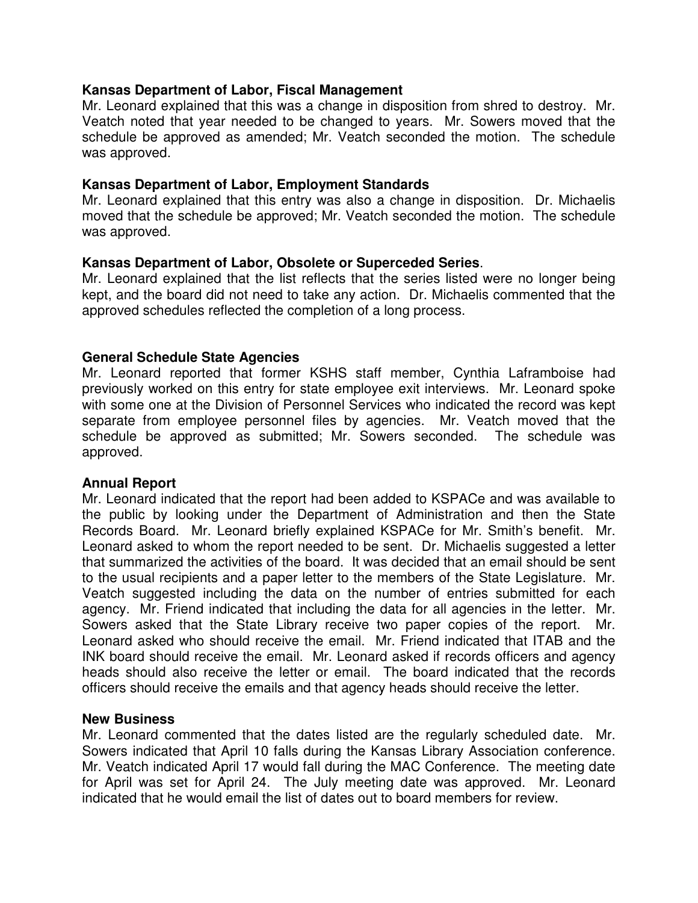## **Kansas Department of Labor, Fiscal Management**

Mr. Leonard explained that this was a change in disposition from shred to destroy. Mr. Veatch noted that year needed to be changed to years. Mr. Sowers moved that the schedule be approved as amended; Mr. Veatch seconded the motion. The schedule was approved.

## **Kansas Department of Labor, Employment Standards**

Mr. Leonard explained that this entry was also a change in disposition. Dr. Michaelis moved that the schedule be approved; Mr. Veatch seconded the motion. The schedule was approved.

## **Kansas Department of Labor, Obsolete or Superceded Series**.

Mr. Leonard explained that the list reflects that the series listed were no longer being kept, and the board did not need to take any action. Dr. Michaelis commented that the approved schedules reflected the completion of a long process.

## **General Schedule State Agencies**

Mr. Leonard reported that former KSHS staff member, Cynthia Laframboise had previously worked on this entry for state employee exit interviews. Mr. Leonard spoke with some one at the Division of Personnel Services who indicated the record was kept separate from employee personnel files by agencies. Mr. Veatch moved that the schedule be approved as submitted; Mr. Sowers seconded. The schedule was approved.

### **Annual Report**

Mr. Leonard indicated that the report had been added to KSPACe and was available to the public by looking under the Department of Administration and then the State Records Board. Mr. Leonard briefly explained KSPACe for Mr. Smith's benefit. Mr. Leonard asked to whom the report needed to be sent. Dr. Michaelis suggested a letter that summarized the activities of the board. It was decided that an email should be sent to the usual recipients and a paper letter to the members of the State Legislature. Mr. Veatch suggested including the data on the number of entries submitted for each agency. Mr. Friend indicated that including the data for all agencies in the letter. Mr. Sowers asked that the State Library receive two paper copies of the report. Mr. Leonard asked who should receive the email. Mr. Friend indicated that ITAB and the INK board should receive the email. Mr. Leonard asked if records officers and agency heads should also receive the letter or email. The board indicated that the records officers should receive the emails and that agency heads should receive the letter.

### **New Business**

Mr. Leonard commented that the dates listed are the regularly scheduled date. Mr. Sowers indicated that April 10 falls during the Kansas Library Association conference. Mr. Veatch indicated April 17 would fall during the MAC Conference. The meeting date for April was set for April 24. The July meeting date was approved. Mr. Leonard indicated that he would email the list of dates out to board members for review.